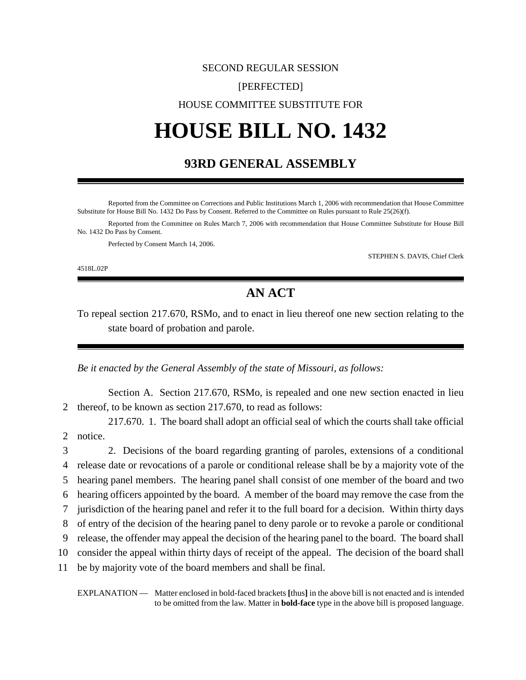## SECOND REGULAR SESSION [PERFECTED] HOUSE COMMITTEE SUBSTITUTE FOR

# **HOUSE BILL NO. 1432**

#### **93RD GENERAL ASSEMBLY**

Reported from the Committee on Corrections and Public Institutions March 1, 2006 with recommendation that House Committee Substitute for House Bill No. 1432 Do Pass by Consent. Referred to the Committee on Rules pursuant to Rule 25(26)(f).

Reported from the Committee on Rules March 7, 2006 with recommendation that House Committee Substitute for House Bill No. 1432 Do Pass by Consent.

Perfected by Consent March 14, 2006.

STEPHEN S. DAVIS, Chief Clerk

4518L.02P

### **AN ACT**

To repeal section 217.670, RSMo, and to enact in lieu thereof one new section relating to the state board of probation and parole.

*Be it enacted by the General Assembly of the state of Missouri, as follows:*

Section A. Section 217.670, RSMo, is repealed and one new section enacted in lieu 2 thereof, to be known as section 217.670, to read as follows:

217.670. 1. The board shall adopt an official seal of which the courts shall take official 2 notice.

 2. Decisions of the board regarding granting of paroles, extensions of a conditional release date or revocations of a parole or conditional release shall be by a majority vote of the hearing panel members. The hearing panel shall consist of one member of the board and two hearing officers appointed by the board. A member of the board may remove the case from the jurisdiction of the hearing panel and refer it to the full board for a decision. Within thirty days of entry of the decision of the hearing panel to deny parole or to revoke a parole or conditional release, the offender may appeal the decision of the hearing panel to the board. The board shall consider the appeal within thirty days of receipt of the appeal. The decision of the board shall be by majority vote of the board members and shall be final.

EXPLANATION — Matter enclosed in bold-faced brackets **[**thus**]** in the above bill is not enacted and is intended to be omitted from the law. Matter in **bold-face** type in the above bill is proposed language.